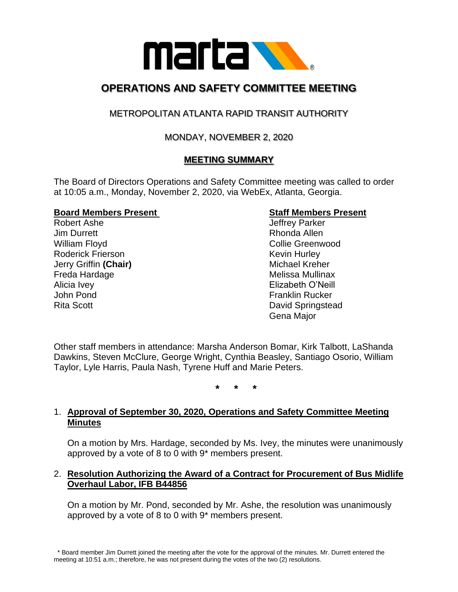

# **OPERATIONS AND SAFETY COMMITTEE MEETING**

## METROPOLITAN ATLANTA RAPID TRANSIT AUTHORITY

## MONDAY, NOVEMBER 2, 2020

## **MEETING SUMMARY**

The Board of Directors Operations and Safety Committee meeting was called to order at 10:05 a.m., Monday, November 2, 2020, via WebEx, Atlanta, Georgia.

#### **Board Members Present Staff Members Present**

Robert Ashe **Internal and Accord Ashering Contract Ashering Contract Accord Accord Accord Accord Accord Accord Accord Accord Accord Accord Accord Accord Accord Accord Accord Accord Accord Accord Accord Accord Accord Accord** Jim Durrett **Rhonda** Allen William Floyd **Collie Greenwood** Collie Greenwood Roderick Frierson **Kevin Hurley** Kevin Hurley **Jerry Griffin (Chair)** Michael Kreher Freda Hardage **Melissa Mullinax** Alicia Ivey **Alicia Ivey Elizabeth O'Neill** John Pond **Franklin Rucker** Rita Scott David Springstead

Gena Major

Other staff members in attendance: Marsha Anderson Bomar, Kirk Talbott, LaShanda Dawkins, Steven McClure, George Wright, Cynthia Beasley, Santiago Osorio, William Taylor, Lyle Harris, Paula Nash, Tyrene Huff and Marie Peters.

**\* \* \***

#### 1. **Approval of September 30, 2020, Operations and Safety Committee Meeting Minutes**

On a motion by Mrs. Hardage, seconded by Ms. Ivey, the minutes were unanimously approved by a vote of 8 to 0 with 9\* members present.

#### 2. **Resolution Authorizing the Award of a Contract for Procurement of Bus Midlife Overhaul Labor, IFB B44856**

On a motion by Mr. Pond, seconded by Mr. Ashe, the resolution was unanimously approved by a vote of 8 to 0 with 9\* members present.